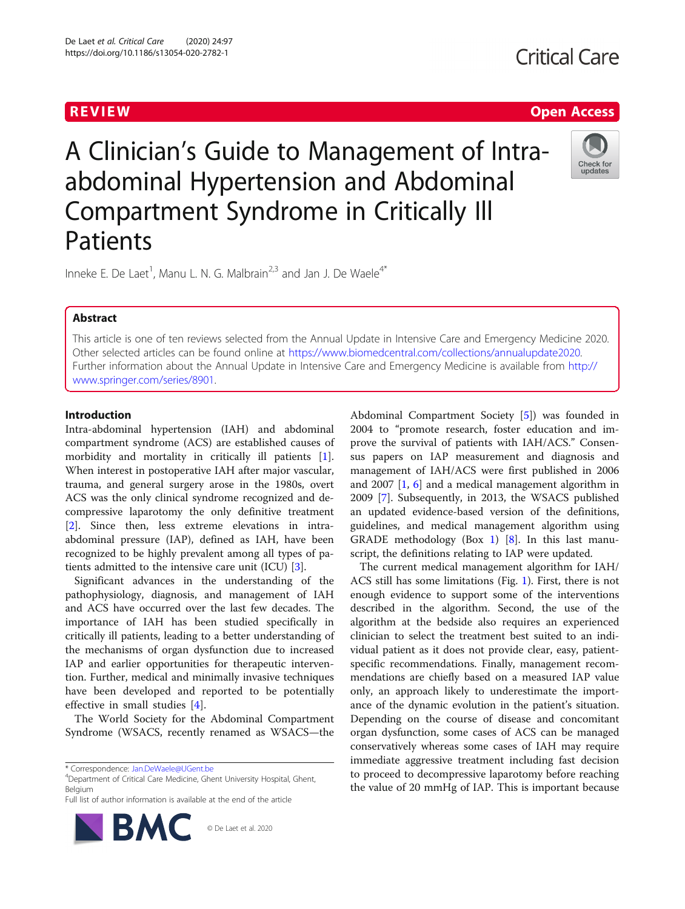# R EVI EW Open Access

# A Clinician's Guide to Management of Intraabdominal Hypertension and Abdominal Compartment Syndrome in Critically Ill Patients



Inneke E. De Laet<sup>1</sup>, Manu L. N. G. Malbrain<sup>2,3</sup> and Jan J. De Waele<sup>4\*</sup>

# Abstract

This article is one of ten reviews selected from the Annual Update in Intensive Care and Emergency Medicine 2020. Other selected articles can be found online at [https://www.biomedcentral.com/collections/annualupdate2020.](https://www.biomedcentral.com/collections/annualupdate2020) Further information about the Annual Update in Intensive Care and Emergency Medicine is available from [http://](http://www.springer.com/series/8901) [www.springer.com/series/8901](http://www.springer.com/series/8901).

# Introduction

Intra-abdominal hypertension (IAH) and abdominal compartment syndrome (ACS) are established causes of morbidity and mortality in critically ill patients [\[1](#page-7-0)]. When interest in postoperative IAH after major vascular, trauma, and general surgery arose in the 1980s, overt ACS was the only clinical syndrome recognized and decompressive laparotomy the only definitive treatment [[2\]](#page-7-0). Since then, less extreme elevations in intraabdominal pressure (IAP), defined as IAH, have been recognized to be highly prevalent among all types of patients admitted to the intensive care unit (ICU) [\[3](#page-7-0)].

Significant advances in the understanding of the pathophysiology, diagnosis, and management of IAH and ACS have occurred over the last few decades. The importance of IAH has been studied specifically in critically ill patients, leading to a better understanding of the mechanisms of organ dysfunction due to increased IAP and earlier opportunities for therapeutic intervention. Further, medical and minimally invasive techniques have been developed and reported to be potentially effective in small studies [[4\]](#page-7-0).

The World Society for the Abdominal Compartment Syndrome (WSACS, recently renamed as WSACS—the

Department of Critical Care Medicine, Ghent University Hospital, Ghent, Belgium

Full list of author information is available at the end of the article



Abdominal Compartment Society [\[5](#page-7-0)]) was founded in 2004 to "promote research, foster education and improve the survival of patients with IAH/ACS." Consensus papers on IAP measurement and diagnosis and management of IAH/ACS were first published in 2006 and 2007  $\left[1, 6\right]$  $\left[1, 6\right]$  $\left[1, 6\right]$  $\left[1, 6\right]$  $\left[1, 6\right]$  and a medical management algorithm in 2009 [[7\]](#page-7-0). Subsequently, in 2013, the WSACS published an updated evidence-based version of the definitions, guidelines, and medical management algorithm using GRADE methodology (Box [1\)](#page-1-0) [[8](#page-7-0)]. In this last manuscript, the definitions relating to IAP were updated.

The current medical management algorithm for IAH/ ACS still has some limitations (Fig. [1\)](#page-2-0). First, there is not enough evidence to support some of the interventions described in the algorithm. Second, the use of the algorithm at the bedside also requires an experienced clinician to select the treatment best suited to an individual patient as it does not provide clear, easy, patientspecific recommendations. Finally, management recommendations are chiefly based on a measured IAP value only, an approach likely to underestimate the importance of the dynamic evolution in the patient's situation. Depending on the course of disease and concomitant organ dysfunction, some cases of ACS can be managed conservatively whereas some cases of IAH may require immediate aggressive treatment including fast decision to proceed to decompressive laparotomy before reaching the value of 20 mmHg of IAP. This is important because

<sup>\*</sup> Correspondence: [Jan.DeWaele@UGent.be](mailto:Jan.DeWaele@UGent.be) <sup>4</sup>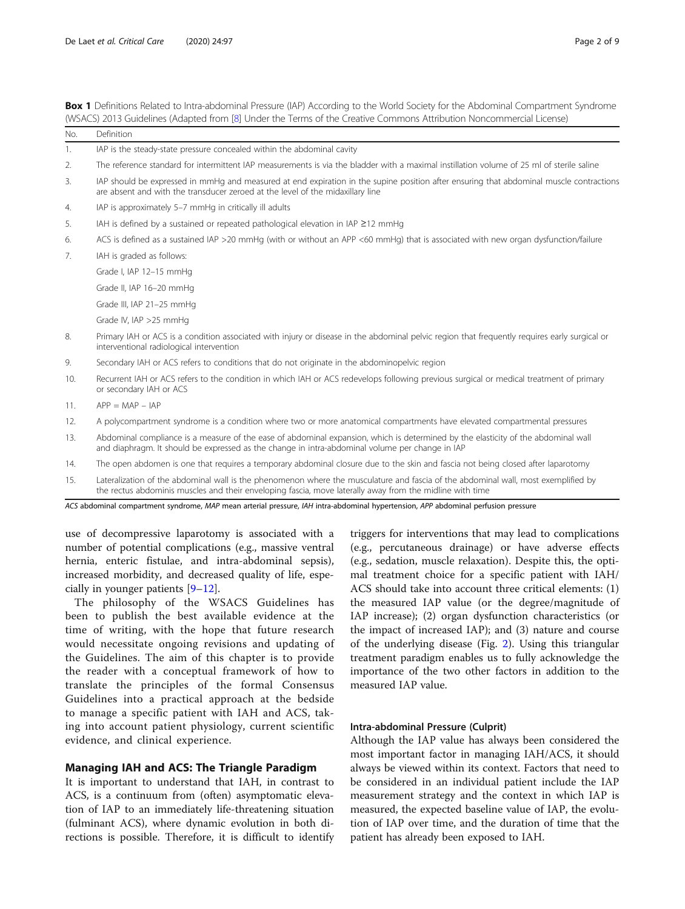<span id="page-1-0"></span>Box 1 Definitions Related to Intra-abdominal Pressure (IAP) According to the World Society for the Abdominal Compartment Syndrome (WSACS) 2013 Guidelines (Adapted from [[8\]](#page-7-0) Under the Terms of the Creative Commons Attribution Noncommercial License)

| No. | Definition                                                                                                                                                                                                                                     |
|-----|------------------------------------------------------------------------------------------------------------------------------------------------------------------------------------------------------------------------------------------------|
| 1.  | IAP is the steady-state pressure concealed within the abdominal cavity                                                                                                                                                                         |
| 2.  | The reference standard for intermittent IAP measurements is via the bladder with a maximal instillation volume of 25 ml of sterile saline                                                                                                      |
| 3.  | IAP should be expressed in mmHq and measured at end expiration in the supine position after ensuring that abdominal muscle contractions<br>are absent and with the transducer zeroed at the level of the midaxillary line                      |
| 4.  | IAP is approximately 5-7 mmHg in critically ill adults                                                                                                                                                                                         |
| 5.  | IAH is defined by a sustained or repeated pathological elevation in IAP $\geq$ 12 mmHg                                                                                                                                                         |
| 6.  | ACS is defined as a sustained IAP >20 mmHg (with or without an APP <60 mmHg) that is associated with new organ dysfunction/failure                                                                                                             |
| 7.  | IAH is graded as follows:                                                                                                                                                                                                                      |
|     | Grade I, IAP 12-15 mmHg                                                                                                                                                                                                                        |
|     | Grade II, IAP 16-20 mmHg                                                                                                                                                                                                                       |
|     | Grade III, IAP 21-25 mmHg                                                                                                                                                                                                                      |
|     | Grade IV, IAP >25 mmHg                                                                                                                                                                                                                         |
| 8.  | Primary IAH or ACS is a condition associated with injury or disease in the abdominal pelvic region that frequently requires early surgical or<br>interventional radiological intervention                                                      |
| 9.  | Secondary IAH or ACS refers to conditions that do not originate in the abdominopelvic region                                                                                                                                                   |
| 10. | Recurrent IAH or ACS refers to the condition in which IAH or ACS redevelops following previous surgical or medical treatment of primary<br>or secondary IAH or ACS                                                                             |
| 11. | $APP = MAP - IAP$                                                                                                                                                                                                                              |
| 12. | A polycompartment syndrome is a condition where two or more anatomical compartments have elevated compartmental pressures                                                                                                                      |
| 13. | Abdominal compliance is a measure of the ease of abdominal expansion, which is determined by the elasticity of the abdominal wall<br>and diaphragm. It should be expressed as the change in intra-abdominal volume per change in IAP           |
| 14. | The open abdomen is one that requires a temporary abdominal closure due to the skin and fascia not being closed after laparotomy                                                                                                               |
| 15. | Lateralization of the abdominal wall is the phenomenon where the musculature and fascia of the abdominal wall, most exemplified by<br>the rectus abdominis muscles and their enveloping fascia, move laterally away from the midline with time |
|     | ACS abdominal compartment syndrome, MAP mean arterial pressure, IAH intra-abdominal hypertension, APP abdominal perfusion pressure                                                                                                             |

use of decompressive laparotomy is associated with a number of potential complications (e.g., massive ventral hernia, enteric fistulae, and intra-abdominal sepsis), increased morbidity, and decreased quality of life, especially in younger patients [[9](#page-8-0)–[12](#page-8-0)].

The philosophy of the WSACS Guidelines has been to publish the best available evidence at the time of writing, with the hope that future research would necessitate ongoing revisions and updating of the Guidelines. The aim of this chapter is to provide the reader with a conceptual framework of how to translate the principles of the formal Consensus Guidelines into a practical approach at the bedside to manage a specific patient with IAH and ACS, taking into account patient physiology, current scientific evidence, and clinical experience.

#### Managing IAH and ACS: The Triangle Paradigm

It is important to understand that IAH, in contrast to ACS, is a continuum from (often) asymptomatic elevation of IAP to an immediately life-threatening situation (fulminant ACS), where dynamic evolution in both directions is possible. Therefore, it is difficult to identify triggers for interventions that may lead to complications (e.g., percutaneous drainage) or have adverse effects (e.g., sedation, muscle relaxation). Despite this, the optimal treatment choice for a specific patient with IAH/ ACS should take into account three critical elements: (1) the measured IAP value (or the degree/magnitude of IAP increase); (2) organ dysfunction characteristics (or the impact of increased IAP); and (3) nature and course of the underlying disease (Fig. [2\)](#page-3-0). Using this triangular treatment paradigm enables us to fully acknowledge the importance of the two other factors in addition to the measured IAP value.

# Intra-abdominal Pressure (Culprit)

Although the IAP value has always been considered the most important factor in managing IAH/ACS, it should always be viewed within its context. Factors that need to be considered in an individual patient include the IAP measurement strategy and the context in which IAP is measured, the expected baseline value of IAP, the evolution of IAP over time, and the duration of time that the patient has already been exposed to IAH.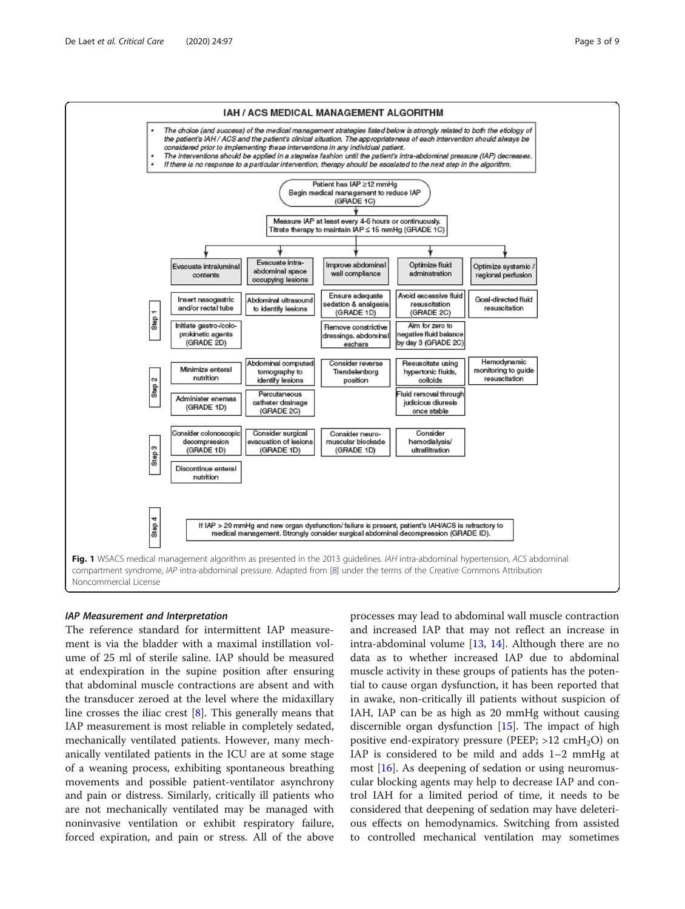<span id="page-2-0"></span>

## IAP Measurement and Interpretation

The reference standard for intermittent IAP measurement is via the bladder with a maximal instillation volume of 25 ml of sterile saline. IAP should be measured at endexpiration in the supine position after ensuring that abdominal muscle contractions are absent and with the transducer zeroed at the level where the midaxillary line crosses the iliac crest [[8\]](#page-7-0). This generally means that IAP measurement is most reliable in completely sedated, mechanically ventilated patients. However, many mechanically ventilated patients in the ICU are at some stage of a weaning process, exhibiting spontaneous breathing movements and possible patient-ventilator asynchrony and pain or distress. Similarly, critically ill patients who are not mechanically ventilated may be managed with noninvasive ventilation or exhibit respiratory failure, forced expiration, and pain or stress. All of the above processes may lead to abdominal wall muscle contraction and increased IAP that may not reflect an increase in intra-abdominal volume  $[13, 14]$  $[13, 14]$  $[13, 14]$  $[13, 14]$  $[13, 14]$ . Although there are no data as to whether increased IAP due to abdominal muscle activity in these groups of patients has the potential to cause organ dysfunction, it has been reported that in awake, non-critically ill patients without suspicion of IAH, IAP can be as high as 20 mmHg without causing discernible organ dysfunction  $[15]$  $[15]$ . The impact of high positive end-expiratory pressure (PEEP;  $>12$  cmH<sub>2</sub>O) on IAP is considered to be mild and adds 1–2 mmHg at most [\[16](#page-8-0)]. As deepening of sedation or using neuromuscular blocking agents may help to decrease IAP and control IAH for a limited period of time, it needs to be considered that deepening of sedation may have deleterious effects on hemodynamics. Switching from assisted to controlled mechanical ventilation may sometimes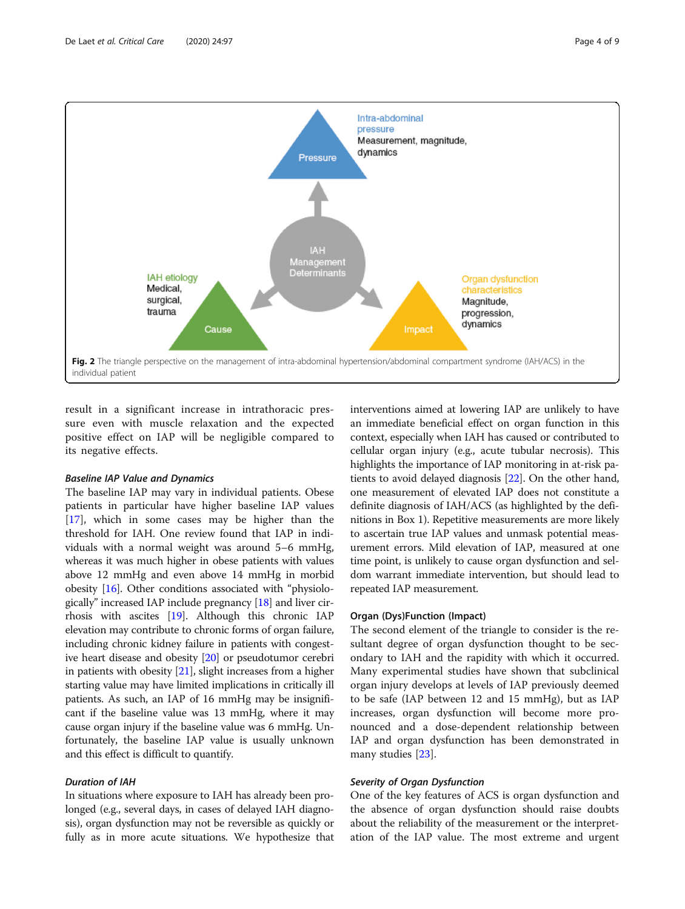<span id="page-3-0"></span>

result in a significant increase in intrathoracic pressure even with muscle relaxation and the expected positive effect on IAP will be negligible compared to its negative effects.

#### Baseline IAP Value and Dynamics

The baseline IAP may vary in individual patients. Obese patients in particular have higher baseline IAP values [[17\]](#page-8-0), which in some cases may be higher than the threshold for IAH. One review found that IAP in individuals with a normal weight was around 5–6 mmHg, whereas it was much higher in obese patients with values above 12 mmHg and even above 14 mmHg in morbid obesity [[16](#page-8-0)]. Other conditions associated with "physiologically" increased IAP include pregnancy [\[18\]](#page-8-0) and liver cirrhosis with ascites [[19](#page-8-0)]. Although this chronic IAP elevation may contribute to chronic forms of organ failure, including chronic kidney failure in patients with congestive heart disease and obesity [\[20\]](#page-8-0) or pseudotumor cerebri in patients with obesity  $[21]$ , slight increases from a higher starting value may have limited implications in critically ill patients. As such, an IAP of 16 mmHg may be insignificant if the baseline value was 13 mmHg, where it may cause organ injury if the baseline value was 6 mmHg. Unfortunately, the baseline IAP value is usually unknown and this effect is difficult to quantify.

#### Duration of IAH

In situations where exposure to IAH has already been prolonged (e.g., several days, in cases of delayed IAH diagnosis), organ dysfunction may not be reversible as quickly or fully as in more acute situations. We hypothesize that interventions aimed at lowering IAP are unlikely to have an immediate beneficial effect on organ function in this context, especially when IAH has caused or contributed to cellular organ injury (e.g., acute tubular necrosis). This highlights the importance of IAP monitoring in at-risk patients to avoid delayed diagnosis [\[22\]](#page-8-0). On the other hand, one measurement of elevated IAP does not constitute a definite diagnosis of IAH/ACS (as highlighted by the definitions in Box 1). Repetitive measurements are more likely to ascertain true IAP values and unmask potential measurement errors. Mild elevation of IAP, measured at one time point, is unlikely to cause organ dysfunction and seldom warrant immediate intervention, but should lead to repeated IAP measurement.

#### Organ (Dys)Function (Impact)

The second element of the triangle to consider is the resultant degree of organ dysfunction thought to be secondary to IAH and the rapidity with which it occurred. Many experimental studies have shown that subclinical organ injury develops at levels of IAP previously deemed to be safe (IAP between 12 and 15 mmHg), but as IAP increases, organ dysfunction will become more pronounced and a dose-dependent relationship between IAP and organ dysfunction has been demonstrated in many studies [\[23](#page-8-0)].

# Severity of Organ Dysfunction

One of the key features of ACS is organ dysfunction and the absence of organ dysfunction should raise doubts about the reliability of the measurement or the interpretation of the IAP value. The most extreme and urgent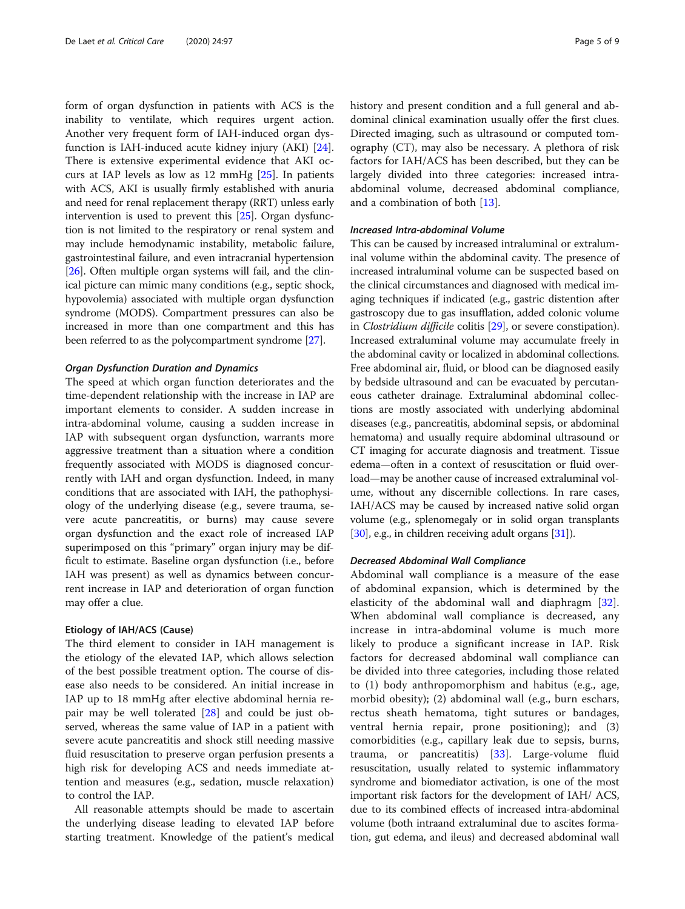form of organ dysfunction in patients with ACS is the inability to ventilate, which requires urgent action. Another very frequent form of IAH-induced organ dysfunction is IAH-induced acute kidney injury (AKI) [\[24](#page-8-0)]. There is extensive experimental evidence that AKI occurs at IAP levels as low as 12 mmHg [[25\]](#page-8-0). In patients with ACS, AKI is usually firmly established with anuria and need for renal replacement therapy (RRT) unless early intervention is used to prevent this [\[25](#page-8-0)]. Organ dysfunction is not limited to the respiratory or renal system and may include hemodynamic instability, metabolic failure, gastrointestinal failure, and even intracranial hypertension [[26](#page-8-0)]. Often multiple organ systems will fail, and the clinical picture can mimic many conditions (e.g., septic shock, hypovolemia) associated with multiple organ dysfunction syndrome (MODS). Compartment pressures can also be increased in more than one compartment and this has been referred to as the polycompartment syndrome [\[27\]](#page-8-0).

#### Organ Dysfunction Duration and Dynamics

The speed at which organ function deteriorates and the time-dependent relationship with the increase in IAP are important elements to consider. A sudden increase in intra-abdominal volume, causing a sudden increase in IAP with subsequent organ dysfunction, warrants more aggressive treatment than a situation where a condition frequently associated with MODS is diagnosed concurrently with IAH and organ dysfunction. Indeed, in many conditions that are associated with IAH, the pathophysiology of the underlying disease (e.g., severe trauma, severe acute pancreatitis, or burns) may cause severe organ dysfunction and the exact role of increased IAP superimposed on this "primary" organ injury may be difficult to estimate. Baseline organ dysfunction (i.e., before IAH was present) as well as dynamics between concurrent increase in IAP and deterioration of organ function may offer a clue.

#### Etiology of IAH/ACS (Cause)

The third element to consider in IAH management is the etiology of the elevated IAP, which allows selection of the best possible treatment option. The course of disease also needs to be considered. An initial increase in IAP up to 18 mmHg after elective abdominal hernia repair may be well tolerated [\[28](#page-8-0)] and could be just observed, whereas the same value of IAP in a patient with severe acute pancreatitis and shock still needing massive fluid resuscitation to preserve organ perfusion presents a high risk for developing ACS and needs immediate attention and measures (e.g., sedation, muscle relaxation) to control the IAP.

All reasonable attempts should be made to ascertain the underlying disease leading to elevated IAP before starting treatment. Knowledge of the patient's medical history and present condition and a full general and abdominal clinical examination usually offer the first clues. Directed imaging, such as ultrasound or computed tomography (CT), may also be necessary. A plethora of risk factors for IAH/ACS has been described, but they can be largely divided into three categories: increased intraabdominal volume, decreased abdominal compliance, and a combination of both [\[13\]](#page-8-0).

# Increased Intra-abdominal Volume

This can be caused by increased intraluminal or extraluminal volume within the abdominal cavity. The presence of increased intraluminal volume can be suspected based on the clinical circumstances and diagnosed with medical imaging techniques if indicated (e.g., gastric distention after gastroscopy due to gas insufflation, added colonic volume in Clostridium difficile colitis [\[29\]](#page-8-0), or severe constipation). Increased extraluminal volume may accumulate freely in the abdominal cavity or localized in abdominal collections. Free abdominal air, fluid, or blood can be diagnosed easily by bedside ultrasound and can be evacuated by percutaneous catheter drainage. Extraluminal abdominal collections are mostly associated with underlying abdominal diseases (e.g., pancreatitis, abdominal sepsis, or abdominal hematoma) and usually require abdominal ultrasound or CT imaging for accurate diagnosis and treatment. Tissue edema—often in a context of resuscitation or fluid overload—may be another cause of increased extraluminal volume, without any discernible collections. In rare cases, IAH/ACS may be caused by increased native solid organ volume (e.g., splenomegaly or in solid organ transplants [[30](#page-8-0)], e.g., in children receiving adult organs [\[31](#page-8-0)]).

#### Decreased Abdominal Wall Compliance

Abdominal wall compliance is a measure of the ease of abdominal expansion, which is determined by the elasticity of the abdominal wall and diaphragm [\[32](#page-8-0)]. When abdominal wall compliance is decreased, any increase in intra-abdominal volume is much more likely to produce a significant increase in IAP. Risk factors for decreased abdominal wall compliance can be divided into three categories, including those related to (1) body anthropomorphism and habitus (e.g., age, morbid obesity); (2) abdominal wall (e.g., burn eschars, rectus sheath hematoma, tight sutures or bandages, ventral hernia repair, prone positioning); and (3) comorbidities (e.g., capillary leak due to sepsis, burns, trauma, or pancreatitis) [\[33](#page-8-0)]. Large-volume fluid resuscitation, usually related to systemic inflammatory syndrome and biomediator activation, is one of the most important risk factors for the development of IAH/ ACS, due to its combined effects of increased intra-abdominal volume (both intraand extraluminal due to ascites formation, gut edema, and ileus) and decreased abdominal wall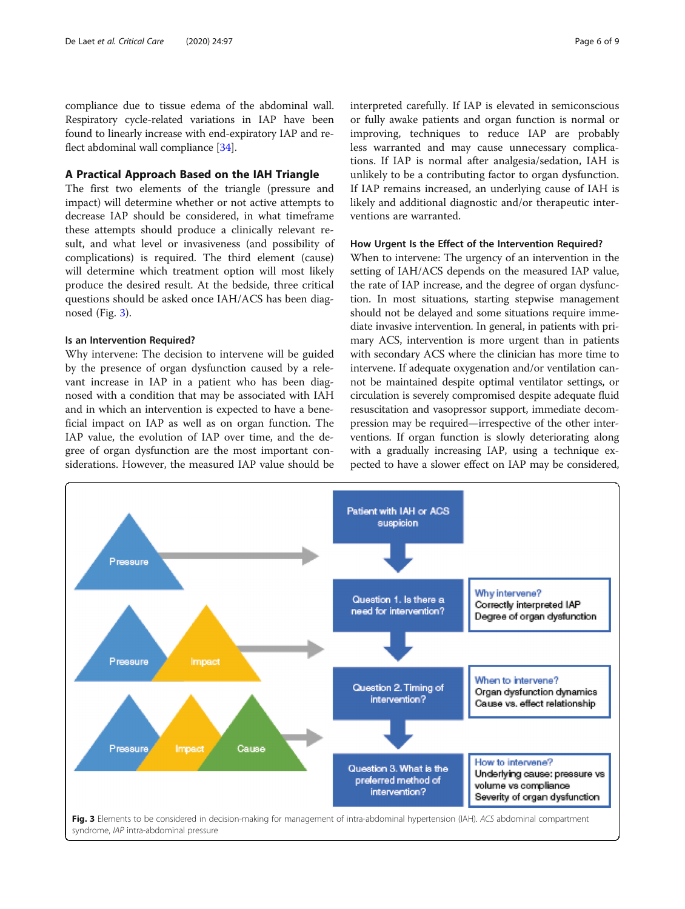compliance due to tissue edema of the abdominal wall. Respiratory cycle-related variations in IAP have been found to linearly increase with end-expiratory IAP and reflect abdominal wall compliance [\[34\]](#page-8-0).

### A Practical Approach Based on the IAH Triangle

The first two elements of the triangle (pressure and impact) will determine whether or not active attempts to decrease IAP should be considered, in what timeframe these attempts should produce a clinically relevant result, and what level or invasiveness (and possibility of complications) is required. The third element (cause) will determine which treatment option will most likely produce the desired result. At the bedside, three critical questions should be asked once IAH/ACS has been diagnosed (Fig. 3).

#### Is an Intervention Required?

Why intervene: The decision to intervene will be guided by the presence of organ dysfunction caused by a relevant increase in IAP in a patient who has been diagnosed with a condition that may be associated with IAH and in which an intervention is expected to have a beneficial impact on IAP as well as on organ function. The IAP value, the evolution of IAP over time, and the degree of organ dysfunction are the most important considerations. However, the measured IAP value should be interpreted carefully. If IAP is elevated in semiconscious or fully awake patients and organ function is normal or improving, techniques to reduce IAP are probably less warranted and may cause unnecessary complications. If IAP is normal after analgesia/sedation, IAH is unlikely to be a contributing factor to organ dysfunction. If IAP remains increased, an underlying cause of IAH is likely and additional diagnostic and/or therapeutic interventions are warranted.

#### How Urgent Is the Effect of the Intervention Required?

When to intervene: The urgency of an intervention in the setting of IAH/ACS depends on the measured IAP value, the rate of IAP increase, and the degree of organ dysfunction. In most situations, starting stepwise management should not be delayed and some situations require immediate invasive intervention. In general, in patients with primary ACS, intervention is more urgent than in patients with secondary ACS where the clinician has more time to intervene. If adequate oxygenation and/or ventilation cannot be maintained despite optimal ventilator settings, or circulation is severely compromised despite adequate fluid resuscitation and vasopressor support, immediate decompression may be required—irrespective of the other interventions. If organ function is slowly deteriorating along with a gradually increasing IAP, using a technique expected to have a slower effect on IAP may be considered,

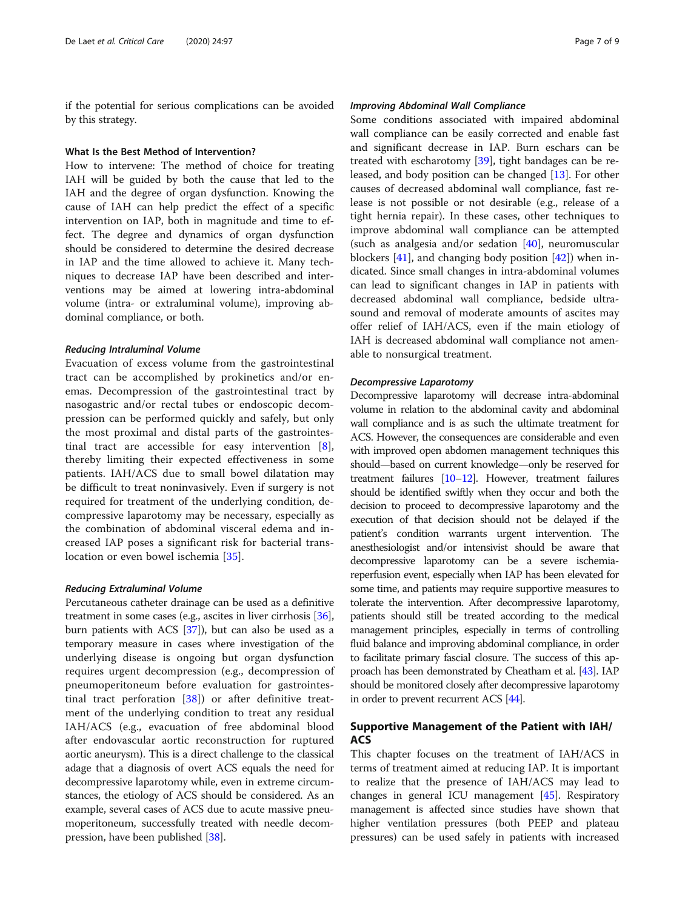if the potential for serious complications can be avoided by this strategy.

#### What Is the Best Method of Intervention?

How to intervene: The method of choice for treating IAH will be guided by both the cause that led to the IAH and the degree of organ dysfunction. Knowing the cause of IAH can help predict the effect of a specific intervention on IAP, both in magnitude and time to effect. The degree and dynamics of organ dysfunction should be considered to determine the desired decrease in IAP and the time allowed to achieve it. Many techniques to decrease IAP have been described and interventions may be aimed at lowering intra-abdominal volume (intra- or extraluminal volume), improving abdominal compliance, or both.

#### Reducing Intraluminal Volume

Evacuation of excess volume from the gastrointestinal tract can be accomplished by prokinetics and/or enemas. Decompression of the gastrointestinal tract by nasogastric and/or rectal tubes or endoscopic decompression can be performed quickly and safely, but only the most proximal and distal parts of the gastrointestinal tract are accessible for easy intervention [\[8](#page-7-0)], thereby limiting their expected effectiveness in some patients. IAH/ACS due to small bowel dilatation may be difficult to treat noninvasively. Even if surgery is not required for treatment of the underlying condition, decompressive laparotomy may be necessary, especially as the combination of abdominal visceral edema and increased IAP poses a significant risk for bacterial trans-location or even bowel ischemia [[35\]](#page-8-0).

#### Reducing Extraluminal Volume

Percutaneous catheter drainage can be used as a definitive treatment in some cases (e.g., ascites in liver cirrhosis [[36](#page-8-0)], burn patients with ACS [\[37\]](#page-8-0)), but can also be used as a temporary measure in cases where investigation of the underlying disease is ongoing but organ dysfunction requires urgent decompression (e.g., decompression of pneumoperitoneum before evaluation for gastrointestinal tract perforation  $[38]$  $[38]$  or after definitive treatment of the underlying condition to treat any residual IAH/ACS (e.g., evacuation of free abdominal blood after endovascular aortic reconstruction for ruptured aortic aneurysm). This is a direct challenge to the classical adage that a diagnosis of overt ACS equals the need for decompressive laparotomy while, even in extreme circumstances, the etiology of ACS should be considered. As an example, several cases of ACS due to acute massive pneumoperitoneum, successfully treated with needle decompression, have been published [[38](#page-8-0)].

#### Improving Abdominal Wall Compliance

Some conditions associated with impaired abdominal wall compliance can be easily corrected and enable fast and significant decrease in IAP. Burn eschars can be treated with escharotomy [[39\]](#page-8-0), tight bandages can be released, and body position can be changed [[13\]](#page-8-0). For other causes of decreased abdominal wall compliance, fast release is not possible or not desirable (e.g., release of a tight hernia repair). In these cases, other techniques to improve abdominal wall compliance can be attempted (such as analgesia and/or sedation  $[40]$  $[40]$  $[40]$ , neuromuscular blockers  $[41]$  $[41]$ , and changing body position  $[42]$  $[42]$ ) when indicated. Since small changes in intra-abdominal volumes can lead to significant changes in IAP in patients with decreased abdominal wall compliance, bedside ultrasound and removal of moderate amounts of ascites may offer relief of IAH/ACS, even if the main etiology of IAH is decreased abdominal wall compliance not amenable to nonsurgical treatment.

#### Decompressive Laparotomy

Decompressive laparotomy will decrease intra-abdominal volume in relation to the abdominal cavity and abdominal wall compliance and is as such the ultimate treatment for ACS. However, the consequences are considerable and even with improved open abdomen management techniques this should—based on current knowledge—only be reserved for treatment failures [[10](#page-8-0)–[12\]](#page-8-0). However, treatment failures should be identified swiftly when they occur and both the decision to proceed to decompressive laparotomy and the execution of that decision should not be delayed if the patient's condition warrants urgent intervention. The anesthesiologist and/or intensivist should be aware that decompressive laparotomy can be a severe ischemiareperfusion event, especially when IAP has been elevated for some time, and patients may require supportive measures to tolerate the intervention. After decompressive laparotomy, patients should still be treated according to the medical management principles, especially in terms of controlling fluid balance and improving abdominal compliance, in order to facilitate primary fascial closure. The success of this approach has been demonstrated by Cheatham et al. [\[43\]](#page-8-0). IAP should be monitored closely after decompressive laparotomy in order to prevent recurrent ACS [\[44\]](#page-8-0).

# Supportive Management of the Patient with IAH/ ACS

This chapter focuses on the treatment of IAH/ACS in terms of treatment aimed at reducing IAP. It is important to realize that the presence of IAH/ACS may lead to changes in general ICU management [[45](#page-8-0)]. Respiratory management is affected since studies have shown that higher ventilation pressures (both PEEP and plateau pressures) can be used safely in patients with increased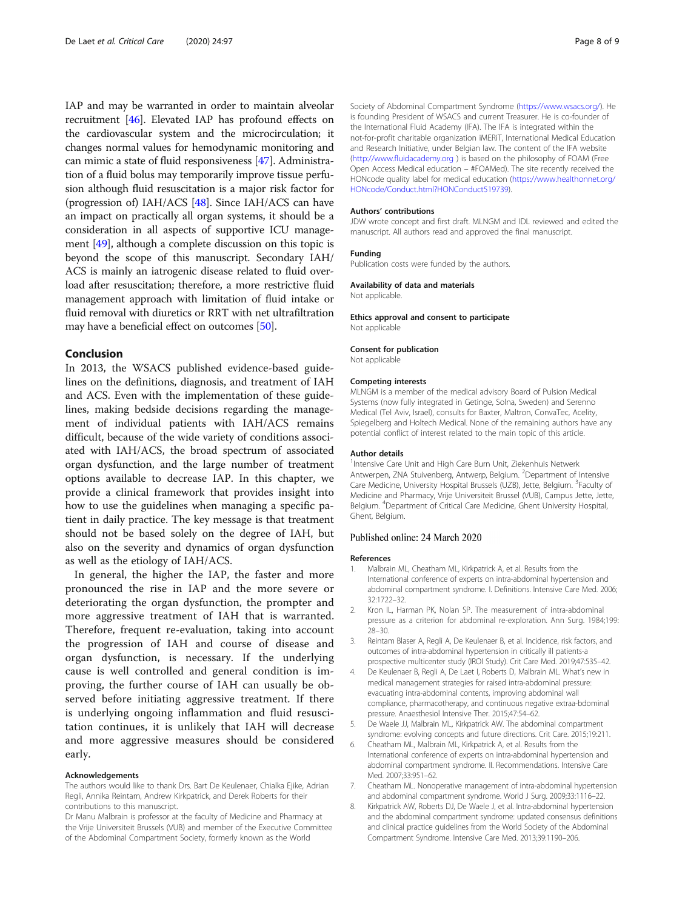<span id="page-7-0"></span>IAP and may be warranted in order to maintain alveolar recruitment [\[46\]](#page-8-0). Elevated IAP has profound effects on the cardiovascular system and the microcirculation; it changes normal values for hemodynamic monitoring and can mimic a state of fluid responsiveness [[47](#page-8-0)]. Administration of a fluid bolus may temporarily improve tissue perfusion although fluid resuscitation is a major risk factor for (progression of) IAH/ACS [[48](#page-8-0)]. Since IAH/ACS can have an impact on practically all organ systems, it should be a consideration in all aspects of supportive ICU management [[49](#page-8-0)], although a complete discussion on this topic is beyond the scope of this manuscript. Secondary IAH/ ACS is mainly an iatrogenic disease related to fluid overload after resuscitation; therefore, a more restrictive fluid management approach with limitation of fluid intake or fluid removal with diuretics or RRT with net ultrafiltration may have a beneficial effect on outcomes [\[50\]](#page-8-0).

#### Conclusion

In 2013, the WSACS published evidence-based guidelines on the definitions, diagnosis, and treatment of IAH and ACS. Even with the implementation of these guidelines, making bedside decisions regarding the management of individual patients with IAH/ACS remains difficult, because of the wide variety of conditions associated with IAH/ACS, the broad spectrum of associated organ dysfunction, and the large number of treatment options available to decrease IAP. In this chapter, we provide a clinical framework that provides insight into how to use the guidelines when managing a specific patient in daily practice. The key message is that treatment should not be based solely on the degree of IAH, but also on the severity and dynamics of organ dysfunction as well as the etiology of IAH/ACS.

In general, the higher the IAP, the faster and more pronounced the rise in IAP and the more severe or deteriorating the organ dysfunction, the prompter and more aggressive treatment of IAH that is warranted. Therefore, frequent re-evaluation, taking into account the progression of IAH and course of disease and organ dysfunction, is necessary. If the underlying cause is well controlled and general condition is improving, the further course of IAH can usually be observed before initiating aggressive treatment. If there is underlying ongoing inflammation and fluid resuscitation continues, it is unlikely that IAH will decrease and more aggressive measures should be considered early.

#### Acknowledgements

The authors would like to thank Drs. Bart De Keulenaer, Chialka Ejike, Adrian Regli, Annika Reintam, Andrew Kirkpatrick, and Derek Roberts for their contributions to this manuscript.

Dr Manu Malbrain is professor at the faculty of Medicine and Pharmacy at the Vrije Universiteit Brussels (VUB) and member of the Executive Committee of the Abdominal Compartment Society, formerly known as the World

Society of Abdominal Compartment Syndrome [\(https://www.wsacs.org/\)](https://www.wsacs.org/). He is founding President of WSACS and current Treasurer. He is co-founder of the International Fluid Academy (IFA). The IFA is integrated within the not-for-profit charitable organization iMERiT, International Medical Education and Research Initiative, under Belgian law. The content of the IFA website ([http://www.fluidacademy.org](http://www.fluidacademy.org/) ) is based on the philosophy of FOAM (Free Open Access Medical education – #FOAMed). The site recently received the HONcode quality label for medical education [\(https://www.healthonnet.org/](https://www.healthonnet.org/HONcode/Conduct.html?HONConduct519739) [HONcode/Conduct.html?HONConduct519739](https://www.healthonnet.org/HONcode/Conduct.html?HONConduct519739)).

#### Authors' contributions

JDW wrote concept and first draft. MLNGM and IDL reviewed and edited the manuscript. All authors read and approved the final manuscript.

#### Funding

Publication costs were funded by the authors.

#### Availability of data and materials Not applicable.

#### Ethics approval and consent to participate

Not applicable

# Consent for publication

Not applicable

#### Competing interests

MLNGM is a member of the medical advisory Board of Pulsion Medical Systems (now fully integrated in Getinge, Solna, Sweden) and Serenno Medical (Tel Aviv, Israel), consults for Baxter, Maltron, ConvaTec, Acelity, Spiegelberg and Holtech Medical. None of the remaining authors have any potential conflict of interest related to the main topic of this article.

#### Author details

<sup>1</sup>Intensive Care Unit and High Care Burn Unit, Ziekenhuis Netwerk Antwerpen, ZNA Stuivenberg, Antwerp, Belgium. <sup>2</sup>Department of Intensive Care Medicine, University Hospital Brussels (UZB), Jette, Belgium. <sup>3</sup>Faculty of Medicine and Pharmacy, Vrije Universiteit Brussel (VUB), Campus Jette, Jette, Belgium. <sup>4</sup> Department of Critical Care Medicine, Ghent University Hospital, Ghent, Belgium.

#### Published online: 24 March 2020

#### References

- Malbrain ML, Cheatham ML, Kirkpatrick A, et al. Results from the International conference of experts on intra-abdominal hypertension and abdominal compartment syndrome. I. Definitions. Intensive Care Med. 2006; 32:1722–32.
- 2. Kron IL, Harman PK, Nolan SP. The measurement of intra-abdominal pressure as a criterion for abdominal re-exploration. Ann Surg. 1984;199: 28–30.
- 3. Reintam Blaser A, Regli A, De Keulenaer B, et al. Incidence, risk factors, and outcomes of intra-abdominal hypertension in critically ill patients-a prospective multicenter study (IROI Study). Crit Care Med. 2019;47:535–42.
- De Keulenaer B, Regli A, De Laet I, Roberts D, Malbrain ML. What's new in medical management strategies for raised intra-abdominal pressure: evacuating intra-abdominal contents, improving abdominal wall compliance, pharmacotherapy, and continuous negative extraa-bdominal pressure. Anaesthesiol Intensive Ther. 2015;47:54–62.
- 5. De Waele JJ, Malbrain ML, Kirkpatrick AW. The abdominal compartment syndrome: evolving concepts and future directions. Crit Care. 2015;19:211.
- 6. Cheatham ML, Malbrain ML, Kirkpatrick A, et al. Results from the International conference of experts on intra-abdominal hypertension and abdominal compartment syndrome. II. Recommendations. Intensive Care Med. 2007;33:951–62.
- 7. Cheatham ML. Nonoperative management of intra-abdominal hypertension and abdominal compartment syndrome. World J Surg. 2009;33:1116–22.
- 8. Kirkpatrick AW, Roberts DJ, De Waele J, et al. Intra-abdominal hypertension and the abdominal compartment syndrome: updated consensus definitions and clinical practice guidelines from the World Society of the Abdominal Compartment Syndrome. Intensive Care Med. 2013;39:1190–206.